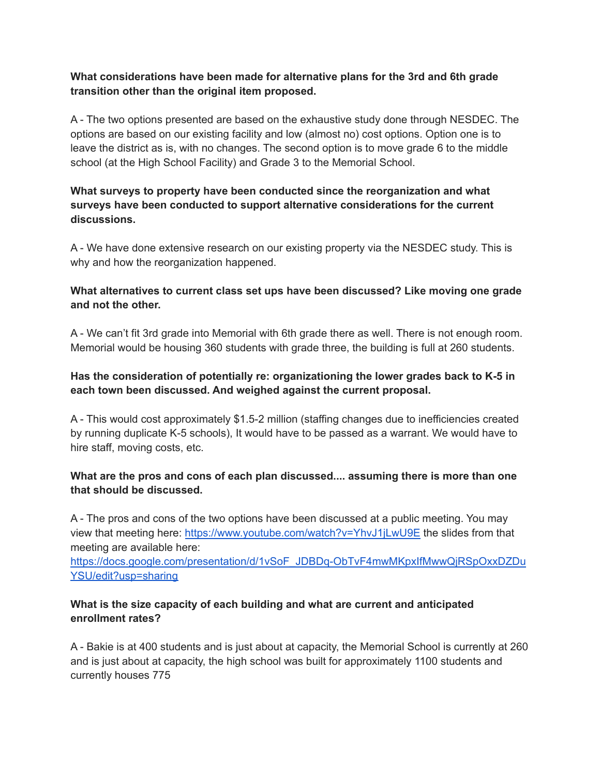### **What considerations have been made for alternative plans for the 3rd and 6th grade transition other than the original item proposed.**

A - The two options presented are based on the exhaustive study done through NESDEC. The options are based on our existing facility and low (almost no) cost options. Option one is to leave the district as is, with no changes. The second option is to move grade 6 to the middle school (at the High School Facility) and Grade 3 to the Memorial School.

## **What surveys to property have been conducted since the reorganization and what surveys have been conducted to support alternative considerations for the current discussions.**

A - We have done extensive research on our existing property via the NESDEC study. This is why and how the reorganization happened.

## **What alternatives to current class set ups have been discussed? Like moving one grade and not the other.**

A - We can't fit 3rd grade into Memorial with 6th grade there as well. There is not enough room. Memorial would be housing 360 students with grade three, the building is full at 260 students.

## **Has the consideration of potentially re: organizationing the lower grades back to K-5 in each town been discussed. And weighed against the current proposal.**

A - This would cost approximately \$1.5-2 million (staffing changes due to inefficiencies created by running duplicate K-5 schools), It would have to be passed as a warrant. We would have to hire staff, moving costs, etc.

## **What are the pros and cons of each plan discussed.... assuming there is more than one that should be discussed.**

A - The pros and cons of the two options have been discussed at a public meeting. You may view that meeting here: <https://www.youtube.com/watch?v=YhvJ1jLwU9E> the slides from that meeting are available here:

https://docs.google.com/presentation/d/1vSoF\_JDBDq-ObTvF4mwMKpxIfMwwQjRSpOxxDZDu YSU/edit?usp=sharing

## **What is the size capacity of each building and what are current and anticipated enrollment rates?**

A - Bakie is at 400 students and is just about at capacity, the Memorial School is currently at 260 and is just about at capacity, the high school was built for approximately 1100 students and currently houses 775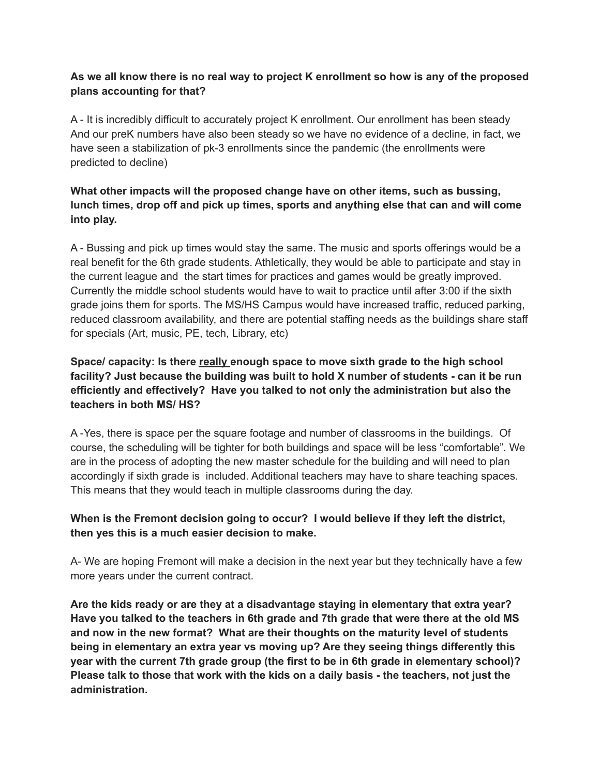## As we all know there is no real way to project K enrollment so how is any of the proposed **plans accounting for that?**

A - It is incredibly difficult to accurately project K enrollment. Our enrollment has been steady And our preK numbers have also been steady so we have no evidence of a decline, in fact, we have seen a stabilization of pk-3 enrollments since the pandemic (the enrollments were predicted to decline)

# **What other impacts will the proposed change have on other items, such as bussing, lunch times, drop off and pick up times, sports and anything else that can and will come into play.**

A - Bussing and pick up times would stay the same. The music and sports offerings would be a real benefit for the 6th grade students. Athletically, they would be able to participate and stay in the current league and the start times for practices and games would be greatly improved. Currently the middle school students would have to wait to practice until after 3:00 if the sixth grade joins them for sports. The MS/HS Campus would have increased traffic, reduced parking, reduced classroom availability, and there are potential staffing needs as the buildings share staff for specials (Art, music, PE, tech, Library, etc)

# **Space/ capacity: Is there really enough space to move sixth grade to the high school facility? Just because the building was built to hold X number of students - can it be run efficiently and effectively? Have you talked to not only the administration but also the teachers in both MS/ HS?**

A -Yes, there is space per the square footage and number of classrooms in the buildings. Of course, the scheduling will be tighter for both buildings and space will be less "comfortable". We are in the process of adopting the new master schedule for the building and will need to plan accordingly if sixth grade is included. Additional teachers may have to share teaching spaces. This means that they would teach in multiple classrooms during the day.

# **When is the Fremont decision going to occur? I would believe if they left the district, then yes this is a much easier decision to make.**

A- We are hoping Fremont will make a decision in the next year but they technically have a few more years under the current contract.

**Are the kids ready or are they at a disadvantage staying in elementary that extra year? Have you talked to the teachers in 6th grade and 7th grade that were there at the old MS and now in the new format? What are their thoughts on the maturity level of students being in elementary an extra year vs moving up? Are they seeing things differently this year with the current 7th grade group (the first to be in 6th grade in elementary school)? Please talk to those that work with the kids on a daily basis - the teachers, not just the administration.**